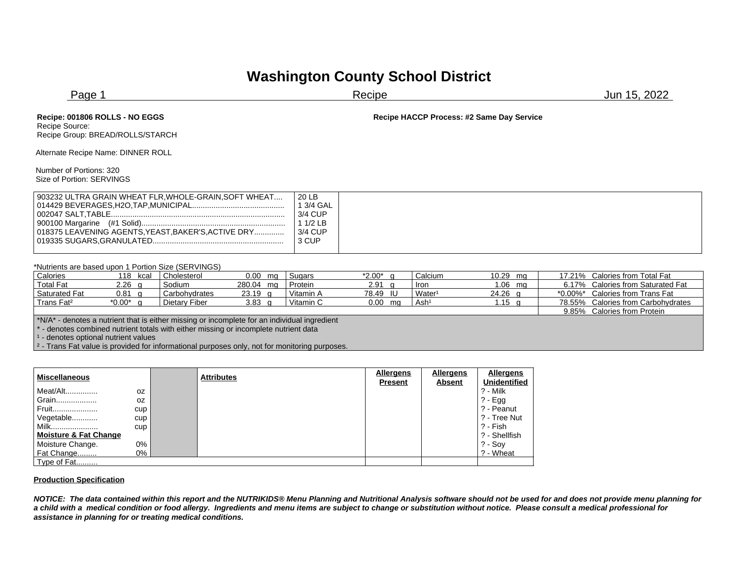## **Washington County School District**

| Page 1                                                                                                       |                                                                | Recipe                                    | Jun 15, 2022 |  |  |
|--------------------------------------------------------------------------------------------------------------|----------------------------------------------------------------|-------------------------------------------|--------------|--|--|
| Recipe: 001806 ROLLS - NO EGGS<br>Recipe Source:<br>Recipe Group: BREAD/ROLLS/STARCH                         |                                                                | Recipe HACCP Process: #2 Same Day Service |              |  |  |
| Alternate Recipe Name: DINNER ROLL                                                                           |                                                                |                                           |              |  |  |
| Number of Portions: 320<br>Size of Portion: SERVINGS                                                         |                                                                |                                           |              |  |  |
| 903232 ULTRA GRAIN WHEAT FLR, WHOLE-GRAIN, SOFT WHEAT<br>018375 LEAVENING AGENTS, YEAST, BAKER'S, ACTIVE DRY | 20 LB<br>1 3/4 GAL<br>3/4 CUP<br>$11/2$ LB<br>3/4 CUP<br>3 CUP |                                           |              |  |  |

## \*Nutrients are based upon 1 Portion Size (SERVINGS)

| Calories                                                                                     | 118<br>kcal | Cholesterol   | $0.00$ mg | Sugars    | *2.00*            | Calcium            | 10.29 mg | 17.21% Calories from Total Fat     |
|----------------------------------------------------------------------------------------------|-------------|---------------|-----------|-----------|-------------------|--------------------|----------|------------------------------------|
| <b>Total Fat</b>                                                                             | $2.26$ q    | Sodium        | 280.04 mg | Protein   | 2.91 <sub>a</sub> | <b>Iron</b>        | 1.06 mg  | 6.17% Calories from Saturated Fat  |
| <b>Saturated Fat</b>                                                                         | $0.81$ q    | Carbohydrates | $23.19$ g | Vitamin A | 78.49 IU          | Water <sup>1</sup> | 24.26 g  | *0.00%* Calories from Trans Fat    |
| Trans Fat <sup>2</sup>                                                                       | $*0.00*$ q  | Dietary Fiber | 3.83 $q$  | Vitamin C | $0.00$ mg         | Ash <sup>1</sup>   | 1.15 $q$ | 78.55% Calories from Carbohydrates |
|                                                                                              |             |               |           |           |                   |                    |          | 9.85% Calories from Protein        |
| *N/A* - denotes a nutrient that is either missing or incomplete for an individual ingredient |             |               |           |           |                   |                    |          |                                    |
| 4 - denotes combined nutrient totals with either missing or incomplete nutrient data         |             |               |           |           |                   |                    |          |                                    |
| <sup>1</sup> - denotes optional nutrient values                                              |             |               |           |           |                   |                    |          |                                    |
|                                                                                              |             |               |           |           |                   |                    |          |                                    |

<sup>2</sup> - Trans Fat value is provided for informational purposes only, not for monitoring purposes.

| <b>Miscellaneous</b>             |     | <b>Attributes</b> | <b>Allergens</b> | <b>Allergens</b> | Allergens           |
|----------------------------------|-----|-------------------|------------------|------------------|---------------------|
|                                  |     |                   | <b>Present</b>   | <b>Absent</b>    | <b>Unidentified</b> |
| Meat/Alt                         | 0Z  |                   |                  |                  | ? - Milk            |
| Grain                            | 0Z  |                   |                  |                  | $? - Egg$           |
| Fruit                            | cup |                   |                  |                  | ? - Peanut          |
| Vegetable                        | cup |                   |                  |                  | ? - Tree Nut        |
| Milk                             | cup |                   |                  |                  | ?- Fish             |
| <b>Moisture &amp; Fat Change</b> |     |                   |                  |                  | ? - Shellfish       |
| Moisture Change.                 | 0%  |                   |                  |                  | $? - Sov$           |
| Fat Change                       | 0%  |                   |                  |                  | ? - Wheat           |
| Type of Fat                      |     |                   |                  |                  |                     |

## **Production Specification**

*NOTICE: The data contained within this report and the NUTRIKIDS® Menu Planning and Nutritional Analysis software should not be used for and does not provide menu planning for a child with a medical condition or food allergy. Ingredients and menu items are subject to change or substitution without notice. Please consult a medical professional for assistance in planning for or treating medical conditions.*